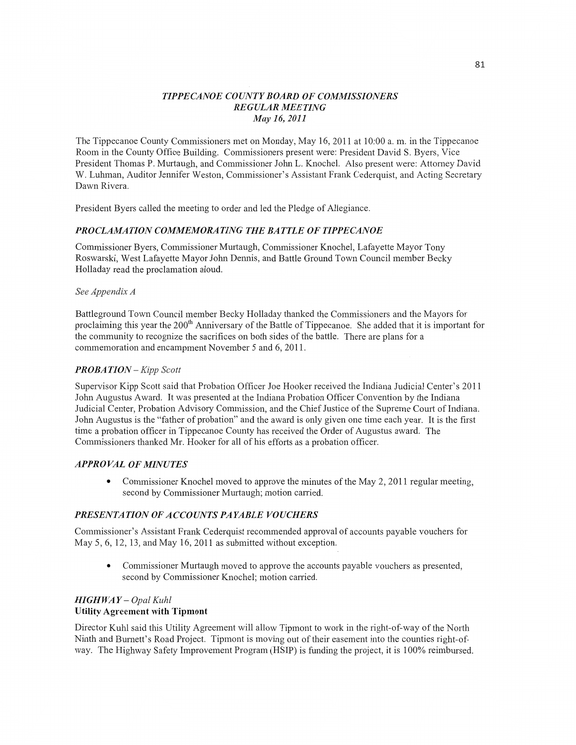## *TIPPE CANOE COUNT Y BOARD* OF *COMMISSIONERS REGULAR MEETING*  May 16, *2011*

The Tippecanoe County Commissioners met on Monday, May 16, 2011 at 10:00 a.m. in the Tippecanoe Room in the County Office Building. Commissioners present were: President David S. Byers, Vice President Thomas P. Murtaugh, and Commissioner John L. Knochel. Also present were: Attorney David W. Luhman, Auditor Jennifer Weston, Commissioner's Assistant Frank Cederquist, and Acting Secretary Dawn Rivera.

President Byers called the meeting to order and led the Pledge of Allegiance.

## **PROCLAMATION COMMEMORATING THE BATTLE OF TIPPECANOE**

Commissioner Byers, Commissioner Murtaugh, Commissioner Knochel, Lafayette Mayor Tony Roswarski, West Lafayette Mayor John Dennis, and Battle Ground **Town** Council member Becky Holladay read the proclamation aloud.

### See *Appendix A*

Battleground Town Council member Becky Holladay thanked the Commissioners and the Mayors for proclaiming this year the 200<sup>th</sup> Anniversary of the Battle of Tippecanoe. She added that it is important for the community to recognize the sacrifices on both sides of the battle. There are plans for <sup>a</sup> commemoration and encampment November 5 and 6, 2011.

## *PROBA TION— Kipp Scott*

Supervisor Kipp Scott said that Probation Officer Joe Hooker received the **Indiana** Judicial Center's 2011 John Augustus Award. It was presented at the Indiana Probation Officer Convention by the **Indiana**  Judicial Center, Probation Advisory Commission, and the Chief Justice of the Supreme Court of Indiana. John Augustus is the "father of probation" and the award is only given one time each year. It is the first time a probation officer in Tippecanoe County has received the Order of Augustus award. The Commissioners thanked Mr. Hooker for all of his efforts as a probation officer.

## *APPRO* VAL OF *MINUTES*

**0** Commissioner Knochel **moved** to approve the **minutes** of the May 2, 2011 regular meeting, second by Commissioner Murtaugh; motion carried.

#### **PRESENTATION OF ACCOUNTS PAYABLE VOUCHERS**

Commissioner's Assistant Frank Cederquist recommended approval of accounts payable vouchers for May 5, 6, 12, 13, and May 16, 2011 as submitted without exception.

**0** Commissioner Murtaugh moved to approve the accounts payable vouchers as presented, second by Commissioner Knochel; motion carried.

### *HIGH* WA *Y* — *Opal Kuhl*  Utility Agreement **with Tipmont**

Director Kuhl said **this** Utility Agreement will allow **Tipmont** to work in the right-of—way of the Nonh Ninth and Burnett's Road Project. Tipmont is moving out of their easement into the counties right-of-Way. The Highway Safety Improvement Program **(HSIP)** is funding the project, it is 100% reimbursed.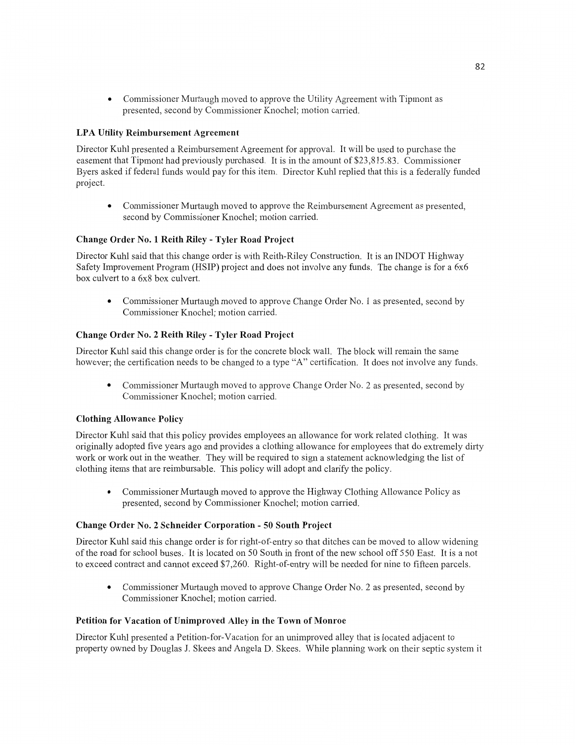**0** Commissioner Murtaugh moved to approve the Utility Agreement with Tipmont as presented, second by Commissioner Knochel; motion carried.

## LPA Utility Reimbursement **Agreement**

Director Kuhl presented *a* Reimbursement Agreement for approval. It will be used to purchase the easement that Tipmont had previously purchased. It is in the amount of \$23,815.83. Commissioner Byers asked if federal funds would pay for this item. Director Kuhl replied that this is a federally funded project.

**0** Commissioner Murtaugh moved to approve the Reimbursement Agreement as presented, second by Commissioner Knochel; motion carried.

### **Change** Order No. **1 Reith Riley** *-* **Tyler** Road **Project**

Director Kuhl said **that** this change order is with Reith—Riley Construction. It is an INDOT Highway Safety Improvement Program (HSIP) project and does not involve any funds. The change is for a 6x6 box culvert to a 6x8 box culvert.

**0** Commissioner Murtaugh moved to approve Change Order No. **1** as presented, second by Commissioner Knochel; **motion** carried.

### **Change Order** No. **2 Reith Riley** *-* **Tyler Road Project**

Director Kuhl said **this** change order is for the concrete block wall. The block will remain the same however; the certification needs to be changed to a type "A" certification. It **does** not involve any funds.

**0** Commissioner Multaugh moved to approve Change Order No. 2 as presented, second by Commissioner Knochel; motion carried.

## **Clothing Allowance** Policy

Director Kuhl said that this policy provides employees an allowance for work related clothing. It was originally adopted five years ago and provides a clothing allowance for employees that do extremely dirty work or work out in the weather. They will be required to sign a statement acknowledging the list of clothing **items** that are reimbursable. This policy will **adopt** and clarify the policy.

**<sup>0</sup>**Commissioner Murtaugh moved to approve the Highway Clothing Allowance Policy as presented, second by Commissioner Knochel; **motion** carried.

#### **Change** Order No. **2** Schneider Corporation *-* 50 **South Project**

Director Kuhl said this change order is for right-of-entry so that ditches can be moved to allow Widening of the road for school buses. It is located on 50 South in front of the new school off 550 East. It is a not to exceed contract and cannot exceed \$7,260. Right-of-entry will be needed for nine to fifteen parcels.

**0** Commissioner Murtaugh moved to approve Change Order No. 2 as presented, second by Commissioner Knochel; motion carried.

#### **Petition** for **Vacation** of **Unimproved** Alley in the **Town** of **Monroe**

Director Kuhl presented a Petition-for-Vacation for an unimproved alley that is located adjacent to property owned by Douglas J. Skees and Angela D. Skees. While planning work on their septic system it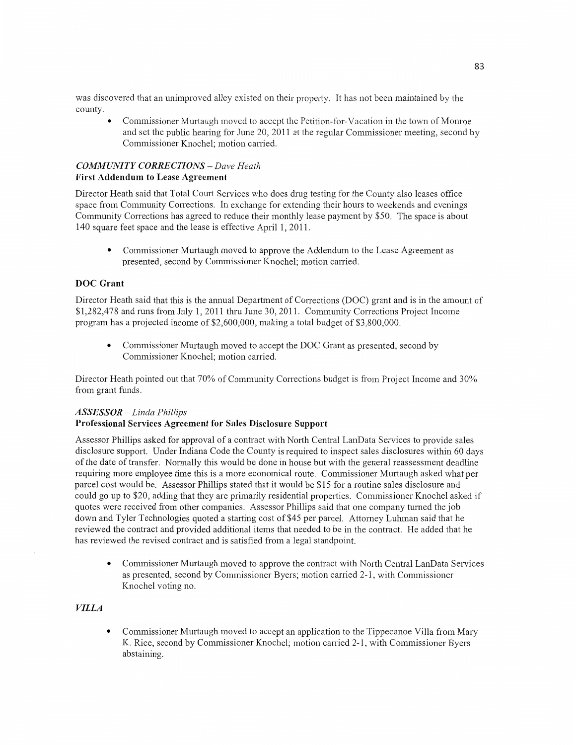was discovered that an unimproved alley existed on their property. It has not been maintained by the county.

**0** Commissioner Murtaugh moved to accept the Petition-for-Vacation in the town of Monroe and set the public hearing for June 20, 2011 at the regular Commissioner meeting, second by Commissioner Knochel; motion carried.

## *COMMUNITY CORRECTIONS* — *Dave Heath*  **First** Addendum to **Lease Agreement**

Director Heath said that Total Court Services who does drug testing for the County also leases office space from Community Corrections. In exchange for extending their hours to weekends and evenings Community Corrections has agreed to reduce their monthly lease payment by \$50. The space is about 140 square feet space and the lease is effective April 1, 2011.

**0** Commissioner Murtaugh moved to approve the Addendum to the Lease Agreement as presented, second by Commissioner Knochel; **motion** carried.

## DOC **Grant**

Director Heath said that this is the annual Department of Corrections (DOC) grant and is in the amount of \$1,282,478 and runs from July 1, 2011 thru June 30, 2011. Community Corrections Project Income program has a projected income of \$2,600,000, making a total budget of \$3,800,000.

**0 Commissioner** Murtaugh moved to accept the DOC Grant as presented, second by Commissioner Knochel; motion carried.

Director Heath pointed out that 70% of Community Corrections budget is from Project Income and 30% from grant funds.

#### *ASSESSOR* — *Linda Phillips*

#### **Professional** Services **Agreement** for **Sales** Disclosure **Support**

Assessor Phillips asked for approval of a contract with North Central LanData Services to provide sales disclosure support. Under Indiana Code the County is required to inspect sales disclosures within 60 days of the date of transfer. Normally this would be done in house but with the general reassessment deadline requiring more employee time **this** is a more economical route. Commissioner Murtaugh asked what per parcel cost would be. Assessor Phillips stated that it would be \$15 for a routine sales disclosure and could go up to \$20, adding that they are primarily residential properties. Commissioner Knochel asked if quotes were received from other companies. Assessor Phillips said that one company turned the job down and Tyler Technologies quoted a starting **cost** of \$45 per parcel. Attorney Luhman said that he reviewed the contract and provided additional items that needed to be in the contract. He added that he has reviewed the revised contract and is satisfied from a legal standpoint.

**0** Commissioner Murtaugh moved to approve the contract with North Central LanData Services as presented, second by Commissioner Byers; motion carried 2-1, with Commissioner Knochel voting no.

## *VILLA*

**0** Commissioner Murtaugh moved to accept an application to the Tippecanoe Villa from Mary K. Rice, second by Commissioner Knochel; motion carried 2-1, with Commissioner Byers abstaining.